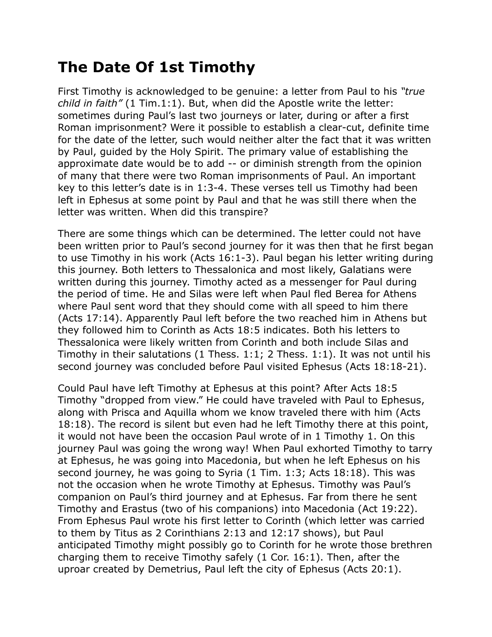## **The Date Of 1st Timothy**

First Timothy is acknowledged to be genuine: a letter from Paul to his *"true child in faith"* (1 Tim.1:1). But, when did the Apostle write the letter: sometimes during Paul's last two journeys or later, during or after a first Roman imprisonment? Were it possible to establish a clear-cut, definite time for the date of the letter, such would neither alter the fact that it was written by Paul, guided by the Holy Spirit. The primary value of establishing the approximate date would be to add -- or diminish strength from the opinion of many that there were two Roman imprisonments of Paul. An important key to this letter's date is in 1:3-4. These verses tell us Timothy had been left in Ephesus at some point by Paul and that he was still there when the letter was written. When did this transpire?

There are some things which can be determined. The letter could not have been written prior to Paul's second journey for it was then that he first began to use Timothy in his work (Acts 16:1-3). Paul began his letter writing during this journey. Both letters to Thessalonica and most likely, Galatians were written during this journey. Timothy acted as a messenger for Paul during the period of time. He and Silas were left when Paul fled Berea for Athens where Paul sent word that they should come with all speed to him there (Acts 17:14). Apparently Paul left before the two reached him in Athens but they followed him to Corinth as Acts 18:5 indicates. Both his letters to Thessalonica were likely written from Corinth and both include Silas and Timothy in their salutations (1 Thess. 1:1; 2 Thess. 1:1). It was not until his second journey was concluded before Paul visited Ephesus (Acts 18:18-21).

Could Paul have left Timothy at Ephesus at this point? After Acts 18:5 Timothy "dropped from view." He could have traveled with Paul to Ephesus, along with Prisca and Aquilla whom we know traveled there with him (Acts 18:18). The record is silent but even had he left Timothy there at this point, it would not have been the occasion Paul wrote of in 1 Timothy 1. On this journey Paul was going the wrong way! When Paul exhorted Timothy to tarry at Ephesus, he was going into Macedonia, but when he left Ephesus on his second journey, he was going to Syria (1 Tim. 1:3; Acts 18:18). This was not the occasion when he wrote Timothy at Ephesus. Timothy was Paul's companion on Paul's third journey and at Ephesus. Far from there he sent Timothy and Erastus (two of his companions) into Macedonia (Act 19:22). From Ephesus Paul wrote his first letter to Corinth (which letter was carried to them by Titus as 2 Corinthians 2:13 and 12:17 shows), but Paul anticipated Timothy might possibly go to Corinth for he wrote those brethren charging them to receive Timothy safely (1 Cor. 16:1). Then, after the uproar created by Demetrius, Paul left the city of Ephesus (Acts 20:1).